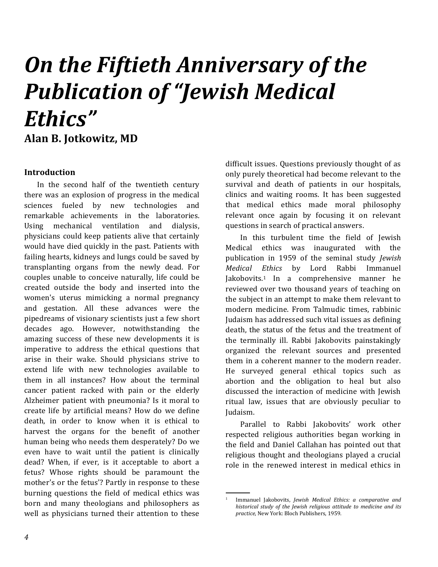# *On the Fiftieth Anniversary of the Publication of "Jewish Medical Ethics"*

**Alan B. Jotkowitz, MD**

### **Introduction**

In the second half of the twentieth century there was an explosion of progress in the medical sciences fueled by new technologies and remarkable achievements in the laboratories. Using mechanical ventilation and dialysis, physicians could keep patients alive that certainly would have died quickly in the past. Patients with failing hearts, kidneys and lungs could be saved by transplanting organs from the newly dead. For couples unable to conceive naturally, life could be created outside the body and inserted into the women's uterus mimicking a normal pregnancy and gestation. All these advances were the pipedreams of visionary scientists just a few short decades ago. However, notwithstanding the amazing success of these new developments it is imperative to address the ethical questions that arise in their wake. Should physicians strive to extend life with new technologies available to them in all instances? How about the terminal cancer patient racked with pain or the elderly Alzheimer patient with pneumonia? Is it moral to create life by artificial means? How do we define death, in order to know when it is ethical to harvest the organs for the benefit of another human being who needs them desperately? Do we even have to wait until the patient is clinically dead? When, if ever, is it acceptable to abort a fetus? Whose rights should be paramount the mother's or the fetus'? Partly in response to these burning questions the field of medical ethics was born and many theologians and philosophers as well as physicians turned their attention to these

difficult issues. Questions previously thought of as only purely theoretical had become relevant to the survival and death of patients in our hospitals, clinics and waiting rooms. It has been suggested that medical ethics made moral philosophy relevant once again by focusing it on relevant questions in search of practical answers.

<span id="page-0-0"></span>In this turbulent time the field of Jewish Medical ethics was inaugurated with the publication in 1959 of the seminal study *Jewish Medical Ethics* by Lord Rabbi Immanuel Jakobovits.<sup>1</sup> In a comprehensive manner he reviewed over two thousand years of teaching on the subject in an attempt to make them relevant to modern medicine. From Talmudic times, rabbinic Judaism has addressed such vital issues as defining death, the status of the fetus and the treatment of the terminally ill. Rabbi Jakobovits painstakingly organized the relevant sources and presented them in a coherent manner to the modern reader. He surveyed general ethical topics such as abortion and the obligation to heal but also discussed the interaction of medicine with Jewish ritual law, issues that are obviously peculiar to Judaism.

Parallel to Rabbi Jakobovits' work other respected religious authorities began working in the field and Daniel Callahan has pointed out that religious thought and theologians played a crucial role in the renewed interest in medical ethics in

.

<sup>1</sup> Immanuel Jakobovits, *Jewish Medical Ethics: a comparative and historical study of the Jewish religious attitude to medicine and its practice*, New York: Bloch Publishers, 1959.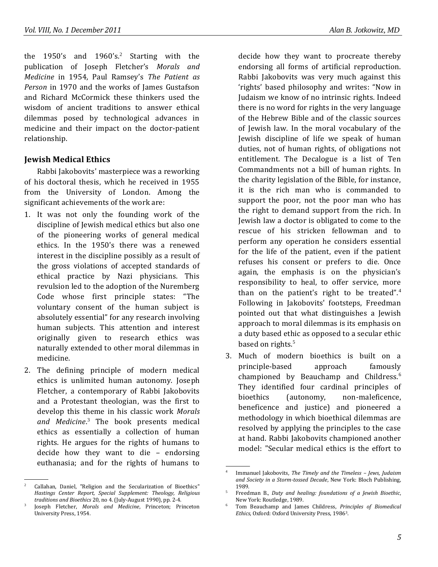the 1950's and 1960's.<sup>2</sup> Starting with the publication of Joseph Fletcher's *Morals and Medicine* in 1954, Paul Ramsey's *The Patient as Person* in 1970 and the works of James Gustafson and Richard McCormick these thinkers used the wisdom of ancient traditions to answer ethical dilemmas posed by technological advances in medicine and their impact on the doctor-patient relationship.

## **Jewish Medical Ethics**

Rabbi Jakobovits' masterpiece was a reworking of his doctoral thesis, which he received in 1955 from the University of London. Among the significant achievements of the work are:

- 1. It was not only the founding work of the discipline of Jewish medical ethics but also one of the pioneering works of general medical ethics. In the 1950's there was a renewed interest in the discipline possibly as a result of the gross violations of accepted standards of ethical practice by Nazi physicians. This revulsion led to the adoption of the Nuremberg Code whose first principle states: "The voluntary consent of the human subject is absolutely essential" for any research involving human subjects. This attention and interest originally given to research ethics was naturally extended to other moral dilemmas in medicine.
- 2. The defining principle of modern medical ethics is unlimited human autonomy. Joseph Fletcher, a contemporary of Rabbi Jakobovits and a Protestant theologian, was the first to develop this theme in his classic work *Morals and Medicine*. <sup>3</sup> The book presents medical ethics as essentially a collection of human rights. He argues for the rights of humans to decide how they want to die – endorsing euthanasia; and for the rights of humans to

.

decide how they want to procreate thereby endorsing all forms of artificial reproduction. Rabbi Jakobovits was very much against this 'rights' based philosophy and writes: "Now in Judaism we know of no intrinsic rights. Indeed there is no word for rights in the very language of the Hebrew Bible and of the classic sources of Jewish law. In the moral vocabulary of the Jewish discipline of life we speak of human duties, not of human rights, of obligations not entitlement. The Decalogue is a list of Ten Commandments not a bill of human rights. In the charity legislation of the Bible, for instance, it is the rich man who is commanded to support the poor, not the poor man who has the right to demand support from the rich. In Jewish law a doctor is obligated to come to the rescue of his stricken fellowman and to perform any operation he considers essential for the life of the patient, even if the patient refuses his consent or prefers to die. Once again, the emphasis is on the physician's responsibility to heal, to offer service, more than on the patient's right to be treated".<sup>4</sup> Following in Jakobovits' footsteps, Freedman pointed out that what distinguishes a Jewish approach to moral dilemmas is its emphasis on a duty based ethic as opposed to a secular ethic based on rights.<sup>5</sup>

3. Much of modern bioethics is built on a principle-based approach famously championed by Beauchamp and Childress.<sup>6</sup> They identified four cardinal principles of bioethics (autonomy, non-maleficence, beneficence and justice) and pioneered a methodology in which bioethical dilemmas are resolved by applying the principles to the case at hand. Rabbi Jakobovits championed another model: "Secular medical ethics is the effort to

.

<sup>2</sup> Callahan, Daniel, "Religion and the Secularization of Bioethics" *Hastings Center Report, Special Supplement: Theology, Religious traditions and Bioethics* 20, no 4. (July-August 1990), pp. 2-4.

<sup>3</sup> Joseph Fletcher, *Morals and Medicine*, Princeton; Princeton University Press, 1954.

<sup>4</sup> Immanuel Jakobovits, *The Timely and the Timeless – Jews, Judaism and Society in a Storm-tossed Decade*, New York: Bloch Publishing, 1989.

<sup>5</sup> Freedman B., *Duty and healing: foundations of a Jewish Bioethic*, New York: Routledge, 1989.

<sup>6</sup> Tom Beauchamp and James Childress, *Principles of Biomedical Ethics*, Oxford: Oxford University Press, 19863.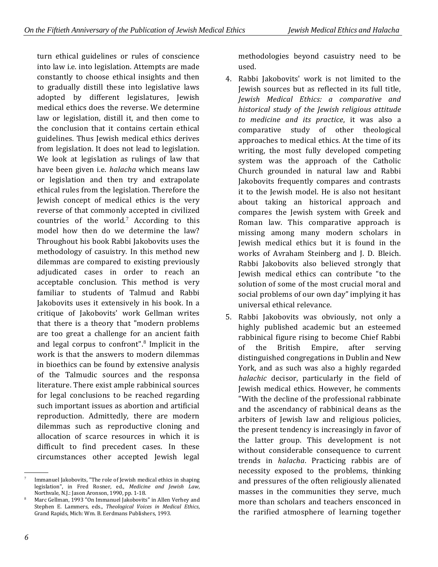turn ethical guidelines or rules of conscience into law i.e. into legislation. Attempts are made constantly to choose ethical insights and then to gradually distill these into legislative laws adopted by different legislatures, Jewish medical ethics does the reverse. We determine law or legislation, distill it, and then come to the conclusion that it contains certain ethical guidelines. Thus Jewish medical ethics derives from legislation. It does not lead to legislation. We look at legislation as rulings of law that have been given i.e. *halacha* which means law or legislation and then try and extrapolate ethical rules from the legislation. Therefore the Jewish concept of medical ethics is the very reverse of that commonly accepted in civilized countries of the world.<sup>7</sup> According to this model how then do we determine the law? Throughout his book Rabbi Jakobovits uses the methodology of casuistry. In this method new dilemmas are compared to existing previously adjudicated cases in order to reach an acceptable conclusion. This method is very familiar to students of Talmud and Rabbi Jakobovits uses it extensively in his book. In a critique of Jakobovits' work Gellman writes that there is a theory that "modern problems are too great a challenge for an ancient faith and legal corpus to confront".<sup>8</sup> Implicit in the work is that the answers to modern dilemmas in bioethics can be found by extensive analysis of the Talmudic sources and the responsa literature. There exist ample rabbinical sources for legal conclusions to be reached regarding such important issues as abortion and artificial reproduction. Admittedly, there are modern dilemmas such as reproductive cloning and allocation of scarce resources in which it is difficult to find precedent cases. In these circumstances other accepted Jewish legal

methodologies beyond casuistry need to be used.

- 4. Rabbi Jakobovits' work is not limited to the Jewish sources but as reflected in its full title, *Jewish Medical Ethics: a comparative and historical study of the Jewish religious attitude to medicine and its practice*, it was also a comparative study of other theological approaches to medical ethics. At the time of its writing, the most fully developed competing system was the approach of the Catholic Church grounded in natural law and Rabbi Jakobovits frequently compares and contrasts it to the Jewish model. He is also not hesitant about taking an historical approach and compares the Jewish system with Greek and Roman law. This comparative approach is missing among many modern scholars in Jewish medical ethics but it is found in the works of Avraham Steinberg and J. D. Bleich. Rabbi Jakobovits also believed strongly that Jewish medical ethics can contribute "to the solution of some of the most crucial moral and social problems of our own day" implying it has universal ethical relevance.
- 5. Rabbi Jakobovits was obviously, not only a highly published academic but an esteemed rabbinical figure rising to become Chief Rabbi of the British Empire, after serving distinguished congregations in Dublin and New York, and as such was also a highly regarded *halachic* decisor, particularly in the field of Jewish medical ethics. However, he comments "With the decline of the professional rabbinate and the ascendancy of rabbinical deans as the arbiters of Jewish law and religious policies, the present tendency is increasingly in favor of the latter group. This development is not without considerable consequence to current trends in *halacha*. Practicing rabbis are of necessity exposed to the problems, thinking and pressures of the often religiously alienated masses in the communities they serve, much more than scholars and teachers ensconced in the rarified atmosphere of learning together

 <sup>.</sup> 7 Immanuel Jakobovits, "The role of Jewish medical ethics in shaping legislation", in Fred Rosner, ed., *Medicine and Jewish Law*, Northvale, N.J.: Jason Aronson, 1990, pp. 1-18.

<sup>8</sup> Marc Gellman, 1993 "On Immanuel Jakobovits" in Allen Verhey and Stephen E. Lammers, eds., *Theological Voices in Medical Ethics*, Grand Rapids, Mich: Wm. B. Eerdmans Publishers, 1993.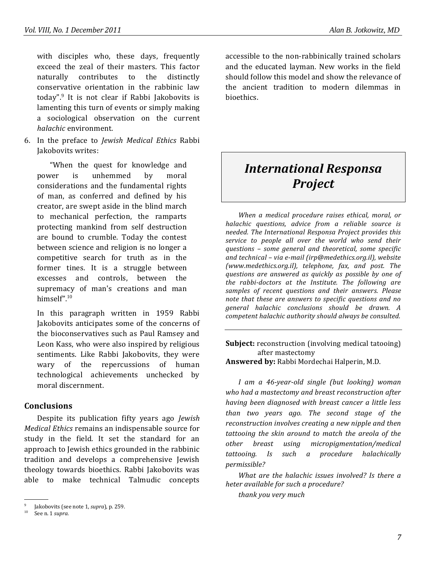with disciples who, these days, frequently exceed the zeal of their masters. This factor naturally contributes to the distinctly conservative orientation in the rabbinic law today".<sup>9</sup> It is not clear if Rabbi Jakobovits is lamenting this turn of events or simply making a sociological observation on the current *halachic* environment.

6. In the preface to *Jewish Medical Ethics* Rabbi Jakobovits writes:

"When the quest for knowledge and power is unhemmed by moral considerations and the fundamental rights of man, as conferred and defined by his creator, are swept aside in the blind march to mechanical perfection, the ramparts protecting mankind from self destruction are bound to crumble. Today the contest between science and religion is no longer a competitive search for truth as in the former tines. It is a struggle between excesses and controls, between the supremacy of man's creations and man himself".<sup>10</sup>

In this paragraph written in 1959 Rabbi Jakobovits anticipates some of the concerns of the bioconservatives such as Paul Ramsey and Leon Kass, who were also inspired by religious sentiments. Like Rabbi Jakobovits, they were wary of the repercussions of human technological achievements unchecked by moral discernment.

### **Conclusions**

Despite its publication fifty years ago *Jewish Medical Ethics* remains an indispensable source for study in the field. It set the standard for an approach to Jewish ethics grounded in the rabbinic tradition and develops a comprehensive Jewish theology towards bioethics. Rabbi Jakobovits was able to make technical Talmudic concepts

.

accessible to the non-rabbinically trained scholars and the educated layman. New works in the field should follow this model and show the relevance of the ancient tradition to modern dilemmas in bioethics.

# *International Responsa Project*

*When a medical procedure raises ethical, moral, or halachic questions, advice from a reliable source is needed. The International Responsa Project provides this service to people all over the world who send their questions – some general and theoretical, some specific and technical – via e-mail (irp@medethics.org.il), website (www.medethics.org.il), telephone, fax, and post. The questions are answered as quickly as possible by one of the rabbi-doctors at the Institute. The following are samples of recent questions and their answers. Please note that these are answers to specific questions and no general halachic conclusions should be drawn. A competent halachic authority should always be consulted.*

**Subject:** reconstruction (involving medical tatooing) after mastectomy **Answered by:** Rabbi Mordechai Halperin, M.D.

*I am a 46-year-old single (but looking) woman who had a mastectomy and breast reconstruction after having been diagnosed with breast cancer a little less than two years ago. The second stage of the reconstruction involves creating a new nipple and then tattooing the skin around to match the areola of the other breast using micropigmentation/medical tattooing. Is such a procedure halachically permissible?*

*What are the halachic issues involved? Is there a heter available for such a procedure?*

*thank you very much*

<sup>9</sup> Jakobovits (see note [1,](#page-0-0) *supra*), p. 259.

See n[. 1](#page-0-0) *supra*.